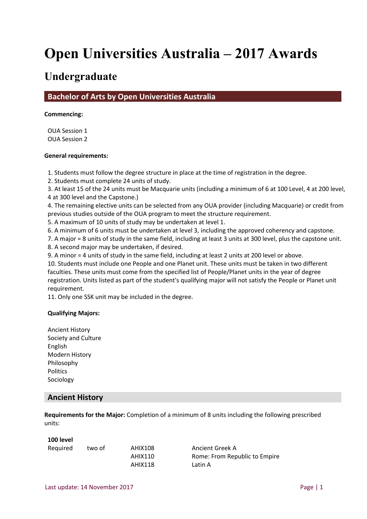# **Open Universities Australia – 2017 Awards**

# **Undergraduate**

**Bachelor of Arts by Open Universities Australia**

#### **Commencing:**

OUA Session 1 OUA Session 2

#### **General requirements:**

1. Students must follow the degree structure in place at the time of registration in the degree.

2. Students must complete 24 units of study.

3. At least 15 of the 24 units must be Macquarie units (including a minimum of 6 at 100 Level, 4 at 200 level, 4 at 300 level and the Capstone.)

4. The remaining elective units can be selected from any OUA provider (including Macquarie) or credit from previous studies outside of the OUA program to meet the structure requirement.

5. A maximum of 10 units of study may be undertaken at level 1.

6. A minimum of 6 units must be undertaken at level 3, including the approved coherency and capstone.

7. A major = 8 units of study in the same field, including at least 3 units at 300 level, plus the capstone unit.

8. A second major may be undertaken, if desired.

9. A minor = 4 units of study in the same field, including at least 2 units at 200 level or above.

10. Students must include one People and one Planet unit. These units must be taken in two different faculties. These units must come from the specified list of People/Planet units in the year of degree registration. Units listed as part of the student's qualifying major will not satisfy the People or Planet unit requirement.

11. Only one SSK unit may be included in the degree.

#### **Qualifying Majors:**

Ancient History Society and Culture English Modern History Philosophy Politics Sociology

## **Ancient History**

**Requirements for the Major:** Completion of a minimum of 8 units including the following prescribed units:

#### **100 level**

| Required | two of | AHIX108 | Ancient Greek A |
|----------|--------|---------|-----------------|
|          |        | AHIX110 | Rome: From Rep  |
|          |        | AHIX118 | Latin A         |

10 Rome: From Republic to Empire 18 Latin A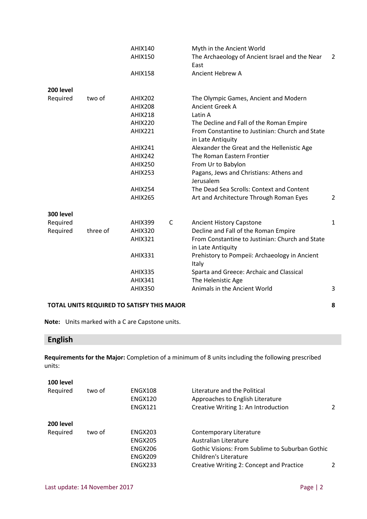|           |          | <b>AHIX140</b><br><b>AHIX150</b> |              | Myth in the Ancient World<br>The Archaeology of Ancient Israel and the Near<br>East | $\overline{2}$ |
|-----------|----------|----------------------------------|--------------|-------------------------------------------------------------------------------------|----------------|
|           |          | <b>AHIX158</b>                   |              | <b>Ancient Hebrew A</b>                                                             |                |
| 200 level |          |                                  |              |                                                                                     |                |
| Required  | two of   | <b>AHIX202</b>                   |              | The Olympic Games, Ancient and Modern                                               |                |
|           |          | <b>AHIX208</b>                   |              | <b>Ancient Greek A</b>                                                              |                |
|           |          | <b>AHIX218</b>                   |              | Latin A                                                                             |                |
|           |          | <b>AHIX220</b>                   |              | The Decline and Fall of the Roman Empire                                            |                |
|           |          | <b>AHIX221</b>                   |              | From Constantine to Justinian: Church and State<br>in Late Antiquity                |                |
|           |          | <b>AHIX241</b>                   |              | Alexander the Great and the Hellenistic Age                                         |                |
|           |          | AHIX242                          |              | The Roman Eastern Frontier                                                          |                |
|           |          | <b>AHIX250</b>                   |              | From Ur to Babylon                                                                  |                |
|           |          | <b>AHIX253</b>                   |              | Pagans, Jews and Christians: Athens and<br>Jerusalem                                |                |
|           |          | <b>AHIX254</b>                   |              | The Dead Sea Scrolls: Context and Content                                           |                |
|           |          | <b>AHIX265</b>                   |              | Art and Architecture Through Roman Eyes                                             | $\overline{2}$ |
| 300 level |          |                                  |              |                                                                                     |                |
| Required  |          | <b>AHIX399</b>                   | $\mathsf{C}$ | <b>Ancient History Capstone</b>                                                     | 1              |
| Required  | three of | <b>AHIX320</b>                   |              | Decline and Fall of the Roman Empire                                                |                |
|           |          | <b>AHIX321</b>                   |              | From Constantine to Justinian: Church and State<br>in Late Antiquity                |                |
|           |          | <b>AHIX331</b>                   |              | Prehistory to Pompeii: Archaeology in Ancient<br>Italy                              |                |
|           |          | <b>AHIX335</b>                   |              | Sparta and Greece: Archaic and Classical                                            |                |
|           |          | <b>AHIX341</b>                   |              | The Helenistic Age                                                                  |                |
|           |          | <b>AHIX350</b>                   |              | Animals in the Ancient World                                                        | 3              |

**Note:** Units marked with a C are Capstone units.

# **English**

**Requirements for the Major:** Completion of a minimum of 8 units including the following prescribed units:

| 100 level |        |                |                                                 |   |
|-----------|--------|----------------|-------------------------------------------------|---|
| Required  | two of | ENGX108        | Literature and the Political                    |   |
|           |        | ENGX120        | Approaches to English Literature                |   |
|           |        | <b>ENGX121</b> | Creative Writing 1: An Introduction             | 2 |
| 200 level |        |                |                                                 |   |
| Required  | two of | <b>ENGX203</b> | Contemporary Literature                         |   |
|           |        | <b>ENGX205</b> | Australian Literature                           |   |
|           |        | ENGX206        | Gothic Visions: From Sublime to Suburban Gothic |   |
|           |        | ENGX209        | Children's Literature                           |   |
|           |        | ENGX233        | Creative Writing 2: Concept and Practice        | 2 |
|           |        |                |                                                 |   |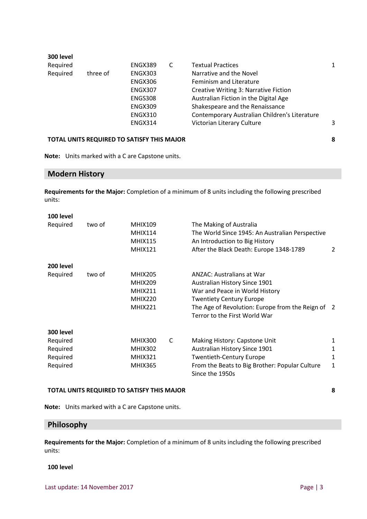| 1                                             |
|-----------------------------------------------|
|                                               |
|                                               |
|                                               |
|                                               |
|                                               |
|                                               |
| 3                                             |
| Contemporary Australian Children's Literature |

**Note:** Units marked with a C are Capstone units.

# **Modern History**

**Requirements for the Major:** Completion of a minimum of 8 units including the following prescribed units:

| 100 level |        |                |   |                                                   |   |
|-----------|--------|----------------|---|---------------------------------------------------|---|
| Required  | two of | <b>MHIX109</b> |   | The Making of Australia                           |   |
|           |        | <b>MHIX114</b> |   | The World Since 1945: An Australian Perspective   |   |
|           |        | <b>MHIX115</b> |   | An Introduction to Big History                    |   |
|           |        | <b>MHIX121</b> |   | After the Black Death: Europe 1348-1789           | 2 |
| 200 level |        |                |   |                                                   |   |
| Required  | two of | <b>MHIX205</b> |   | ANZAC: Australians at War                         |   |
|           |        | <b>MHIX209</b> |   | <b>Australian History Since 1901</b>              |   |
|           |        | <b>MHIX211</b> |   | War and Peace in World History                    |   |
|           |        | <b>MHIX220</b> |   | <b>Twentiety Century Europe</b>                   |   |
|           |        | <b>MHIX221</b> |   | The Age of Revolution: Europe from the Reign of 2 |   |
|           |        |                |   | Terror to the First World War                     |   |
| 300 level |        |                |   |                                                   |   |
| Required  |        | <b>MHIX300</b> | C | Making History: Capstone Unit                     | 1 |
| Required  |        | <b>MHIX302</b> |   | <b>Australian History Since 1901</b>              | 1 |
| Required  |        | <b>MHIX321</b> |   | <b>Twentieth-Century Europe</b>                   | 1 |
| Required  |        | <b>MHIX365</b> |   | From the Beats to Big Brother: Popular Culture    | 1 |
|           |        |                |   | Since the 1950s                                   |   |

#### **TOTAL UNITS REQUIRED TO SATISFY THIS MAJOR 8**

**Note:** Units marked with a C are Capstone units.

# **Philosophy**

**Requirements for the Major:** Completion of a minimum of 8 units including the following prescribed units:

#### **100 level**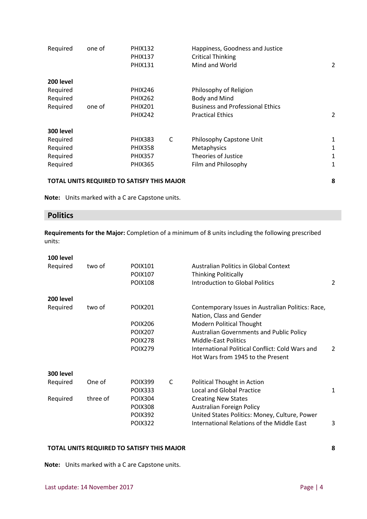| Required  | one of | <b>PHIX132</b> |   | Happiness, Goodness and Justice         |   |
|-----------|--------|----------------|---|-----------------------------------------|---|
|           |        | <b>PHIX137</b> |   | <b>Critical Thinking</b>                |   |
|           |        | <b>PHIX131</b> |   | Mind and World                          | 2 |
| 200 level |        |                |   |                                         |   |
| Required  |        | <b>PHIX246</b> |   | Philosophy of Religion                  |   |
| Required  |        | <b>PHIX262</b> |   | Body and Mind                           |   |
| Required  | one of | <b>PHIX201</b> |   | <b>Business and Professional Ethics</b> |   |
|           |        | <b>PHIX242</b> |   | <b>Practical Ethics</b>                 | 2 |
| 300 level |        |                |   |                                         |   |
| Required  |        | <b>PHIX383</b> | C | Philosophy Capstone Unit                | 1 |
| Required  |        | <b>PHIX358</b> |   | Metaphysics                             | 1 |
| Required  |        | <b>PHIX357</b> |   | Theories of Justice                     | 1 |
| Required  |        | <b>PHIX365</b> |   | Film and Philosophy                     | 1 |
|           |        |                |   |                                         |   |

**Note:** Units marked with a C are Capstone units.

# **Politics**

**Requirements for the Major:** Completion of a minimum of 8 units including the following prescribed units:

| 100 level |          |                |   |                                                                                      |   |
|-----------|----------|----------------|---|--------------------------------------------------------------------------------------|---|
| Required  | two of   | <b>POIX101</b> |   | <b>Australian Politics in Global Context</b>                                         |   |
|           |          | <b>POIX107</b> |   | <b>Thinking Politically</b>                                                          |   |
|           |          | <b>POIX108</b> |   | <b>Introduction to Global Politics</b>                                               | 2 |
| 200 level |          |                |   |                                                                                      |   |
| Required  | two of   | <b>POIX201</b> |   | Contemporary Issues in Australian Politics: Race,<br>Nation, Class and Gender        |   |
|           |          | <b>POIX206</b> |   | <b>Modern Political Thought</b>                                                      |   |
|           |          | <b>POIX207</b> |   | <b>Australian Governments and Public Policy</b>                                      |   |
|           |          | <b>POIX278</b> |   | <b>Middle-East Politics</b>                                                          |   |
|           |          | <b>POIX279</b> |   | International Political Conflict: Cold Wars and<br>Hot Wars from 1945 to the Present | 2 |
| 300 level |          |                |   |                                                                                      |   |
| Required  | One of   | <b>POIX399</b> | C | Political Thought in Action                                                          |   |
|           |          | <b>POIX333</b> |   | <b>Local and Global Practice</b>                                                     | 1 |
| Required  | three of | <b>POIX304</b> |   | <b>Creating New States</b>                                                           |   |
|           |          | <b>POIX308</b> |   | <b>Australian Foreign Policy</b>                                                     |   |
|           |          | <b>POIX392</b> |   | United States Politics: Money, Culture, Power                                        |   |
|           |          | <b>POIX322</b> |   | International Relations of the Middle East                                           | 3 |
|           |          |                |   |                                                                                      |   |

### **TOTAL UNITS REQUIRED TO SATISFY THIS MAJOR 8**

**Note:** Units marked with a C are Capstone units.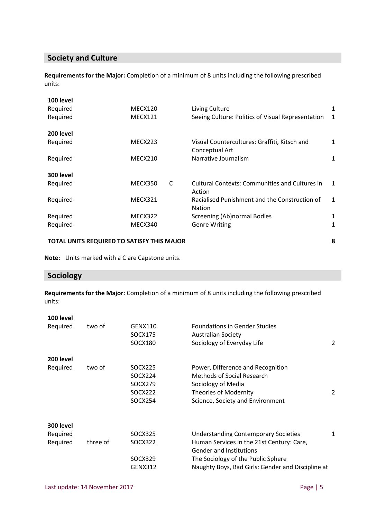# **Society and Culture**

**Requirements for the Major:** Completion of a minimum of 8 units including the following prescribed units:

| TOTAL UNITS REQUIRED TO SATISFY THIS MAJOR |         |   | 8                                                       |              |
|--------------------------------------------|---------|---|---------------------------------------------------------|--------------|
| Required                                   | MECX340 |   | <b>Genre Writing</b>                                    | 1            |
| Required                                   | MECX322 |   | <b>Nation</b><br>Screening (Ab)normal Bodies            | 1            |
| Required                                   | MECX321 |   | Action<br>Racialised Punishment and the Construction of | $\mathbf{1}$ |
| 300 level<br>Required                      | MECX350 | C | <b>Cultural Contexts: Communities and Cultures in</b>   | 1            |
| Required                                   | MECX210 |   | Conceptual Art<br>Narrative Journalism                  | 1            |
| 200 level<br>Required                      | MECX223 |   | Visual Countercultures: Graffiti, Kitsch and            | 1            |
| Required                                   | MECX121 |   | Seeing Culture: Politics of Visual Representation       | 1            |
| 100 level<br>Required                      | MECX120 |   | Living Culture                                          | 1            |

**Note:** Units marked with a C are Capstone units.

# **Sociology**

**Requirements for the Major:** Completion of a minimum of 8 units including the following prescribed units:

| 100 level |          |                |                                                   |   |
|-----------|----------|----------------|---------------------------------------------------|---|
| Required  | two of   | <b>GENX110</b> | <b>Foundations in Gender Studies</b>              |   |
|           |          | SOCX175        | <b>Australian Society</b>                         |   |
|           |          | SOCX180        | Sociology of Everyday Life                        | 2 |
| 200 level |          |                |                                                   |   |
| Required  | two of   | SOCX225        | Power, Difference and Recognition                 |   |
|           |          | SOCX224        | Methods of Social Research                        |   |
|           |          | SOCX279        | Sociology of Media                                |   |
|           |          | SOCX222        | Theories of Modernity                             | 2 |
|           |          | SOCX254        | Science, Society and Environment                  |   |
| 300 level |          |                |                                                   |   |
| Required  |          | SOCX325        | <b>Understanding Contemporary Societies</b>       | 1 |
| Required  | three of | SOCX322        | Human Services in the 21st Century: Care,         |   |
|           |          |                | <b>Gender and Institutions</b>                    |   |
|           |          | SOCX329        | The Sociology of the Public Sphere                |   |
|           |          | <b>GENX312</b> | Naughty Boys, Bad Girls: Gender and Discipline at |   |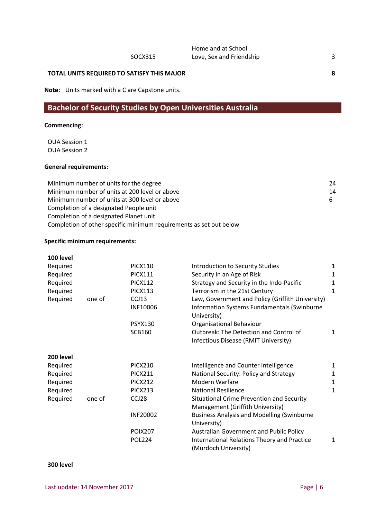**Note:** Units marked with a C are Capstone units.

# **Bachelor of Security Studies by Open Universities Australia**

#### **Commencing:**

OUA Session 1 OUA Session 2

#### **General requirements:**

| Minimum number of units for the degree                             | 24 |
|--------------------------------------------------------------------|----|
| Minimum number of units at 200 level or above                      | 14 |
| Minimum number of units at 300 level or above                      | 6  |
| Completion of a designated People unit                             |    |
| Completion of a designated Planet unit                             |    |
| Completion of other specific minimum requirements as set out below |    |

#### **Specific minimum requirements:**

| 100 level |        |                          |                                                                                                                       |              |
|-----------|--------|--------------------------|-----------------------------------------------------------------------------------------------------------------------|--------------|
| Required  |        | <b>PICX110</b>           | <b>Introduction to Security Studies</b>                                                                               | 1            |
| Required  |        | <b>PICX111</b>           | Security in an Age of Risk                                                                                            | 1            |
| Required  |        | <b>PICX112</b>           | Strategy and Security in the Indo-Pacific                                                                             | 1            |
| Required  |        | <b>PICX113</b>           | Terrorism in the 21st Century                                                                                         | 1            |
| Required  | one of | CCJ13<br><b>INF10006</b> | Law, Government and Policy (Griffith University)<br><b>Information Systems Fundamentals (Swinburne</b><br>University) |              |
|           |        | <b>PSYX130</b>           | Organisational Behaviour                                                                                              |              |
|           |        | <b>SCB160</b>            | Outbreak: The Detection and Control of<br>Infectious Disease (RMIT University)                                        | 1            |
| 200 level |        |                          |                                                                                                                       |              |
| Required  |        | <b>PICX210</b>           | Intelligence and Counter Intelligence                                                                                 | 1            |
| Required  |        | <b>PICX211</b>           | National Security: Policy and Strategy                                                                                | $\mathbf{1}$ |
| Required  |        | <b>PICX212</b>           | Modern Warfare                                                                                                        | $\mathbf{1}$ |
| Required  |        | <b>PICX213</b>           | <b>National Resilience</b>                                                                                            | 1            |
| Required  | one of | CCJ28                    | Situational Crime Prevention and Security<br>Management (Griffith University)                                         |              |
|           |        | <b>INF20002</b>          | <b>Business Analysis and Modelling (Swinburne</b><br>University)                                                      |              |
|           |        | <b>POIX207</b>           | <b>Australian Government and Public Policy</b>                                                                        |              |
|           |        | <b>POL224</b>            | <b>International Relations Theory and Practice</b><br>(Murdoch University)                                            | 1            |

#### **300 level**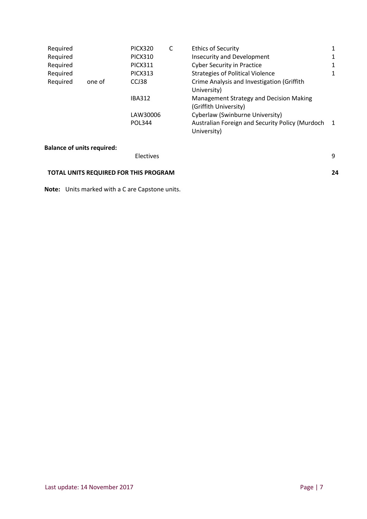| Required |        | PICX320        | C | <b>Ethics of Security</b>                                        | 1              |
|----------|--------|----------------|---|------------------------------------------------------------------|----------------|
| Required |        | <b>PICX310</b> |   | <b>Insecurity and Development</b>                                | $\mathbf{1}$   |
| Required |        | <b>PICX311</b> |   | <b>Cyber Security in Practice</b>                                | $\mathbf{1}$   |
| Required |        | <b>PICX313</b> |   | <b>Strategies of Political Violence</b>                          | 1              |
| Required | one of | CCJ38          |   | Crime Analysis and Investigation (Griffith<br>University)        |                |
|          |        | <b>IBA312</b>  |   | Management Strategy and Decision Making<br>(Griffith University) |                |
|          |        | LAW30006       |   | Cyberlaw (Swinburne University)                                  |                |
|          |        | <b>POL344</b>  |   | Australian Foreign and Security Policy (Murdoch<br>University)   | $\blacksquare$ |

#### **Balance of units required:**

Electives 9 **TOTAL UNITS REQUIRED FOR THIS PROGRAM 24**

**Note:** Units marked with a C are Capstone units.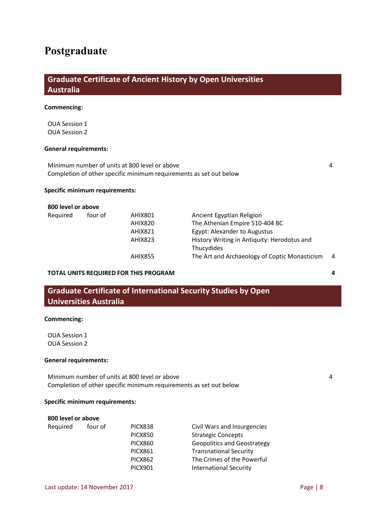# **Postgraduate**

# **Graduate Certificate of Ancient History by Open Universities Australia**

#### **Commencing:**

OUA Session 1 OUA Session 2

#### **General requirements:**

Minimum number of units at 800 level or above 4 Completion of other specific minimum requirements as set out below

#### **Specific minimum requirements:**

#### **800 level or above**

| Required | four of | AHIX801        | Ancient Egyptian Religion                     |    |
|----------|---------|----------------|-----------------------------------------------|----|
|          |         | AHIX820        | The Athenian Empire 510-404 BC                |    |
|          |         | AHIX821        | Egypt: Alexander to Augustus                  |    |
|          |         | AHIX823        | History Writing in Antiquity: Herodotus and   |    |
|          |         |                | Thucydides                                    |    |
|          |         | <b>AHIX855</b> | The Art and Archaeology of Coptic Monasticism | -4 |
|          |         |                |                                               |    |

#### **TOTAL UNITS REQUIRED FOR THIS PROGRAM 4**

# **Graduate Certificate of International Security Studies by Open Universities Australia**

#### **Commencing:**

OUA Session 1 OUA Session 2

#### **General requirements:**

Minimum number of units at 800 level or above 4 Completion of other specific minimum requirements as set out below

#### **Specific minimum requirements:**

#### **800 level or above**

| Required | four of | PICX838        | Civil Wars and Insurgencies        |
|----------|---------|----------------|------------------------------------|
|          |         | <b>PICX850</b> | <b>Strategic Concepts</b>          |
|          |         | <b>PICX860</b> | <b>Geopolitics and Geostrategy</b> |
|          |         | <b>PICX861</b> | <b>Transnational Security</b>      |
|          |         | <b>PICX862</b> | The Crimes of the Powerful         |
|          |         | <b>PICX901</b> | <b>International Security</b>      |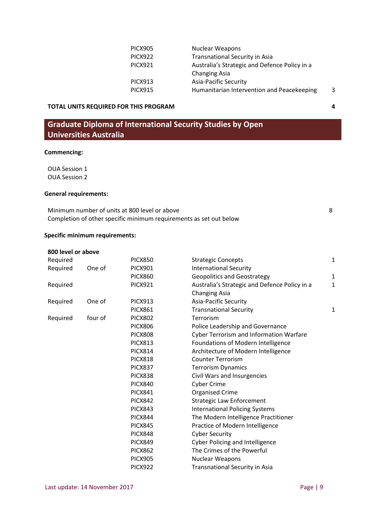| <b>PICX905</b> | Nuclear Weapons                               |   |
|----------------|-----------------------------------------------|---|
| <b>PICX922</b> | <b>Transnational Security in Asia</b>         |   |
| <b>PICX921</b> | Australia's Strategic and Defence Policy in a |   |
|                | <b>Changing Asia</b>                          |   |
| <b>PICX913</b> | <b>Asia-Pacific Security</b>                  |   |
| <b>PICX915</b> | Humanitarian Intervention and Peacekeeping    | 3 |
|                |                                               |   |

# **Graduate Diploma of International Security Studies by Open Universities Australia**

### **Commencing:**

OUA Session 1 OUA Session 2

#### **General requirements:**

| Minimum number of units at 800 level or above                      |  |
|--------------------------------------------------------------------|--|
| Completion of other specific minimum requirements as set out below |  |

#### **Specific minimum requirements:**

| 800 level or above |         |                |                                                |              |
|--------------------|---------|----------------|------------------------------------------------|--------------|
| Required           |         | <b>PICX850</b> | <b>Strategic Concepts</b>                      | 1            |
| Required           | One of  | <b>PICX901</b> | <b>International Security</b>                  |              |
|                    |         | <b>PICX860</b> | <b>Geopolitics and Geostrategy</b>             | $\mathbf{1}$ |
| Required           |         | <b>PICX921</b> | Australia's Strategic and Defence Policy in a  | 1            |
|                    |         |                | <b>Changing Asia</b>                           |              |
| Required           | One of  | <b>PICX913</b> | <b>Asia-Pacific Security</b>                   |              |
|                    |         | <b>PICX861</b> | <b>Transnational Security</b>                  | 1            |
| Required           | four of | <b>PICX802</b> | Terrorism                                      |              |
|                    |         | <b>PICX806</b> | Police Leadership and Governance               |              |
|                    |         | <b>PICX808</b> | <b>Cyber Terrorism and Information Warfare</b> |              |
|                    |         | <b>PICX813</b> | Foundations of Modern Intelligence             |              |
|                    |         | <b>PICX814</b> | Architecture of Modern Intelligence            |              |
|                    |         | <b>PICX818</b> | <b>Counter Terrorism</b>                       |              |
|                    |         | <b>PICX837</b> | <b>Terrorism Dynamics</b>                      |              |
|                    |         | <b>PICX838</b> | Civil Wars and Insurgencies                    |              |
|                    |         | <b>PICX840</b> | <b>Cyber Crime</b>                             |              |
|                    |         | <b>PICX841</b> | <b>Organised Crime</b>                         |              |
|                    |         | <b>PICX842</b> | <b>Strategic Law Enforcement</b>               |              |
|                    |         | <b>PICX843</b> | <b>International Policing Systems</b>          |              |
|                    |         | <b>PICX844</b> | The Modern Intelligence Practitioner           |              |
|                    |         | <b>PICX845</b> | Practice of Modern Intelligence                |              |
|                    |         | <b>PICX848</b> | <b>Cyber Security</b>                          |              |
|                    |         | <b>PICX849</b> | <b>Cyber Policing and Intelligence</b>         |              |
|                    |         | <b>PICX862</b> | The Crimes of the Powerful                     |              |
|                    |         | <b>PICX905</b> | Nuclear Weapons                                |              |
|                    |         | <b>PICX922</b> | <b>Transnational Security in Asia</b>          |              |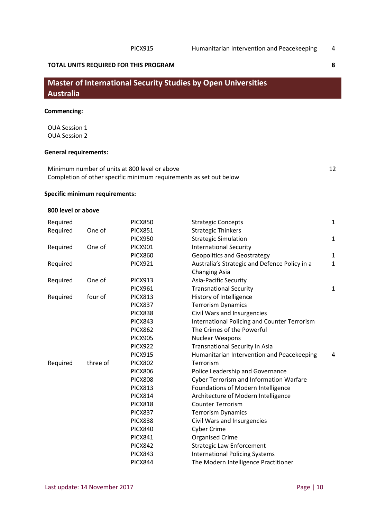# **Master of International Security Studies by Open Universities Australia**

#### **Commencing:**

OUA Session 1 OUA Session 2

#### **General requirements:**

Minimum number of units at 800 level or above 12 Completion of other specific minimum requirements as set out below

#### **Specific minimum requirements:**

#### **800 level or above**

| Required |          | <b>PICX850</b> | <b>Strategic Concepts</b>                           | $\mathbf{1}$ |
|----------|----------|----------------|-----------------------------------------------------|--------------|
| Required | One of   | <b>PICX851</b> | <b>Strategic Thinkers</b>                           |              |
|          |          | <b>PICX950</b> | <b>Strategic Simulation</b>                         | $\mathbf{1}$ |
| Required | One of   | <b>PICX901</b> | <b>International Security</b>                       |              |
|          |          | <b>PICX860</b> | <b>Geopolitics and Geostrategy</b>                  | 1            |
| Required |          | <b>PICX921</b> | Australia's Strategic and Defence Policy in a       | $\mathbf{1}$ |
|          |          |                | <b>Changing Asia</b>                                |              |
| Required | One of   | <b>PICX913</b> | Asia-Pacific Security                               |              |
|          |          | <b>PICX961</b> | <b>Transnational Security</b>                       | 1            |
| Required | four of  | <b>PICX813</b> | History of Intelligence                             |              |
|          |          | <b>PICX837</b> | <b>Terrorism Dynamics</b>                           |              |
|          |          | <b>PICX838</b> | Civil Wars and Insurgencies                         |              |
|          |          | <b>PICX843</b> | <b>International Policing and Counter Terrorism</b> |              |
|          |          | <b>PICX862</b> | The Crimes of the Powerful                          |              |
|          |          | <b>PICX905</b> | Nuclear Weapons                                     |              |
|          |          | <b>PICX922</b> | <b>Transnational Security in Asia</b>               |              |
|          |          | <b>PICX915</b> | Humanitarian Intervention and Peacekeeping          | 4            |
| Required | three of | <b>PICX802</b> | Terrorism                                           |              |
|          |          | <b>PICX806</b> | Police Leadership and Governance                    |              |
|          |          | <b>PICX808</b> | <b>Cyber Terrorism and Information Warfare</b>      |              |
|          |          | <b>PICX813</b> | Foundations of Modern Intelligence                  |              |
|          |          | <b>PICX814</b> | Architecture of Modern Intelligence                 |              |
|          |          | <b>PICX818</b> | <b>Counter Terrorism</b>                            |              |
|          |          | <b>PICX837</b> | <b>Terrorism Dynamics</b>                           |              |
|          |          | <b>PICX838</b> | Civil Wars and Insurgencies                         |              |
|          |          | <b>PICX840</b> | <b>Cyber Crime</b>                                  |              |
|          |          | <b>PICX841</b> | <b>Organised Crime</b>                              |              |
|          |          | <b>PICX842</b> | <b>Strategic Law Enforcement</b>                    |              |
|          |          | <b>PICX843</b> | <b>International Policing Systems</b>               |              |
|          |          | <b>PICX844</b> | The Modern Intelligence Practitioner                |              |
|          |          |                |                                                     |              |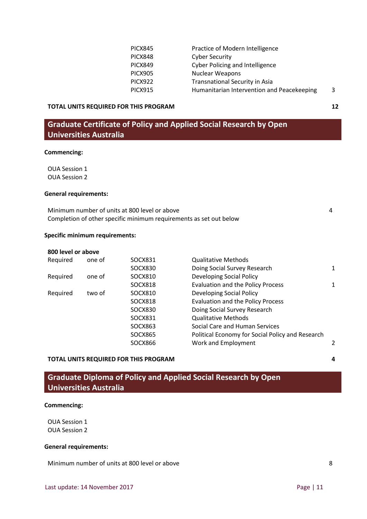| <b>PICX845</b> | Practice of Modern Intelligence            |   |
|----------------|--------------------------------------------|---|
| <b>PICX848</b> | <b>Cyber Security</b>                      |   |
| <b>PICX849</b> | <b>Cyber Policing and Intelligence</b>     |   |
| <b>PICX905</b> | Nuclear Weapons                            |   |
| <b>PICX922</b> | <b>Transnational Security in Asia</b>      |   |
| <b>PICX915</b> | Humanitarian Intervention and Peacekeeping | 3 |
|                |                                            |   |

# **Graduate Certificate of Policy and Applied Social Research by Open Universities Australia**

#### **Commencing:**

OUA Session 1 OUA Session 2

#### **General requirements:**

| Minimum number of units at 800 level or above                      |  |
|--------------------------------------------------------------------|--|
| Completion of other specific minimum requirements as set out below |  |

#### **Specific minimum requirements:**

| 800 level or above |        |                |                                                  |   |
|--------------------|--------|----------------|--------------------------------------------------|---|
| Required           | one of | SOCX831        | <b>Qualitative Methods</b>                       |   |
|                    |        | <b>SOCX830</b> | Doing Social Survey Research                     | 1 |
| Required           | one of | SOCX810        | Developing Social Policy                         |   |
|                    |        | <b>SOCX818</b> | <b>Evaluation and the Policy Process</b>         | 1 |
| Required           | two of | SOCX810        | Developing Social Policy                         |   |
|                    |        | <b>SOCX818</b> | <b>Evaluation and the Policy Process</b>         |   |
|                    |        | SOCX830        | Doing Social Survey Research                     |   |
|                    |        | SOCX831        | <b>Qualitative Methods</b>                       |   |
|                    |        | SOCX863        | Social Care and Human Services                   |   |
|                    |        | <b>SOCX865</b> | Political Economy for Social Policy and Research |   |
|                    |        | SOCX866        | Work and Employment                              |   |

#### **TOTAL UNITS REQUIRED FOR THIS PROGRAM 4**

**Graduate Diploma of Policy and Applied Social Research by Open Universities Australia**

#### **Commencing:**

OUA Session 1 OUA Session 2

#### **General requirements:**

Minimum number of units at 800 level or above 8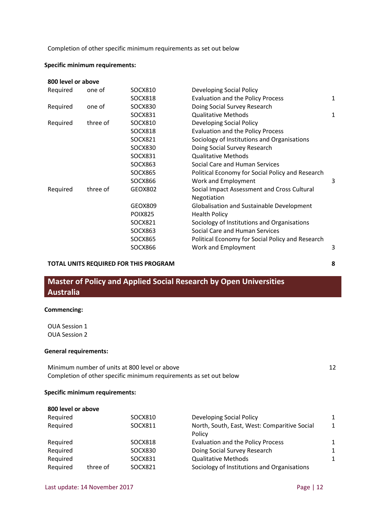Completion of other specific minimum requirements as set out below

#### **Specific minimum requirements:**

| 800 level or above |          |                |                                                  |              |
|--------------------|----------|----------------|--------------------------------------------------|--------------|
| Required           | one of   | SOCX810        | Developing Social Policy                         |              |
|                    |          | SOCX818        | <b>Evaluation and the Policy Process</b>         | $\mathbf{1}$ |
| Required           | one of   | <b>SOCX830</b> | Doing Social Survey Research                     |              |
|                    |          | SOCX831        | <b>Qualitative Methods</b>                       | 1            |
| Required           | three of | SOCX810        | Developing Social Policy                         |              |
|                    |          | <b>SOCX818</b> | <b>Evaluation and the Policy Process</b>         |              |
|                    |          | SOCX821        | Sociology of Institutions and Organisations      |              |
|                    |          | <b>SOCX830</b> | Doing Social Survey Research                     |              |
|                    |          | SOCX831        | <b>Qualitative Methods</b>                       |              |
|                    |          | SOCX863        | Social Care and Human Services                   |              |
|                    |          | <b>SOCX865</b> | Political Economy for Social Policy and Research |              |
|                    |          | SOCX866        | Work and Employment                              | 3            |
| Required           | three of | GEOX802        | Social Impact Assessment and Cross Cultural      |              |
|                    |          |                | Negotiation                                      |              |
|                    |          | GEOX809        | <b>Globalisation and Sustainable Development</b> |              |
|                    |          | <b>POIX825</b> | <b>Health Policy</b>                             |              |
|                    |          | SOCX821        | Sociology of Institutions and Organisations      |              |
|                    |          | SOCX863        | Social Care and Human Services                   |              |
|                    |          | <b>SOCX865</b> | Political Economy for Social Policy and Research |              |
|                    |          | SOCX866        | Work and Employment                              | 3            |

#### **TOTAL UNITS REQUIRED FOR THIS PROGRAM 8**

# **Master of Policy and Applied Social Research by Open Universities Australia**

#### **Commencing:**

OUA Session 1 OUA Session 2

#### **General requirements:**

Minimum number of units at 800 level or above 12 Completion of other specific minimum requirements as set out below

#### **Specific minimum requirements:**

| 800 level or above |          |         |                                              |              |
|--------------------|----------|---------|----------------------------------------------|--------------|
| Required           |          | SOCX810 | <b>Developing Social Policy</b>              | 1            |
| Required           |          | SOCX811 | North, South, East, West: Comparitive Social | $\mathbf{1}$ |
|                    |          |         | Policy                                       |              |
| Required           |          | SOCX818 | <b>Evaluation and the Policy Process</b>     | 1            |
| Required           |          | SOCX830 | Doing Social Survey Research                 | $\mathbf{1}$ |
| Required           |          | SOCX831 | <b>Qualitative Methods</b>                   | 1            |
| Required           | three of | SOCX821 | Sociology of Institutions and Organisations  |              |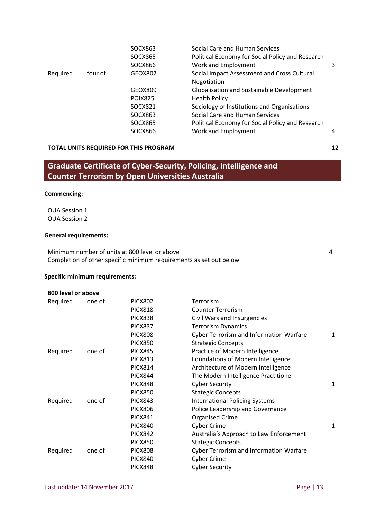|         | SOCX863        | Social Care and Human Services                   |   |
|---------|----------------|--------------------------------------------------|---|
|         | SOCX865        | Political Economy for Social Policy and Research |   |
|         | SOCX866        | Work and Employment                              | 3 |
| four of | GEOX802        | Social Impact Assessment and Cross Cultural      |   |
|         |                | Negotiation                                      |   |
|         | GEOX809        | <b>Globalisation and Sustainable Development</b> |   |
|         | <b>POIX825</b> | <b>Health Policy</b>                             |   |
|         | SOCX821        | Sociology of Institutions and Organisations      |   |
|         | SOCX863        | Social Care and Human Services                   |   |
|         | SOCX865        | Political Economy for Social Policy and Research |   |
|         | SOCX866        | Work and Employment                              | 4 |
|         |                |                                                  |   |

# **Graduate Certificate of Cyber-Security, Policing, Intelligence and Counter Terrorism by Open Universities Australia**

#### **Commencing:**

OUA Session 1 OUA Session 2

#### **General requirements:**

Minimum number of units at 800 level or above 4 Completion of other specific minimum requirements as set out below

#### **Specific minimum requirements:**

| 800 level or above |        |                |                                                |   |
|--------------------|--------|----------------|------------------------------------------------|---|
| Required           | one of | <b>PICX802</b> | Terrorism                                      |   |
|                    |        | <b>PICX818</b> | <b>Counter Terrorism</b>                       |   |
|                    |        | <b>PICX838</b> | Civil Wars and Insurgencies                    |   |
|                    |        | <b>PICX837</b> | <b>Terrorism Dynamics</b>                      |   |
|                    |        | <b>PICX808</b> | <b>Cyber Terrorism and Information Warfare</b> | 1 |
|                    |        | <b>PICX850</b> | <b>Strategic Concepts</b>                      |   |
| Required           | one of | <b>PICX845</b> | Practice of Modern Intelligence                |   |
|                    |        | <b>PICX813</b> | Foundations of Modern Intelligence             |   |
|                    |        | <b>PICX814</b> | Architecture of Modern Intelligence            |   |
|                    |        | <b>PICX844</b> | The Modern Intelligence Practitioner           |   |
|                    |        | <b>PICX848</b> | <b>Cyber Security</b>                          | 1 |
|                    |        | <b>PICX850</b> | <b>Stategic Concepts</b>                       |   |
| Required           | one of | <b>PICX843</b> | <b>International Policing Systems</b>          |   |
|                    |        | <b>PICX806</b> | Police Leadership and Governance               |   |
|                    |        | <b>PICX841</b> | <b>Organised Crime</b>                         |   |
|                    |        | <b>PICX840</b> | <b>Cyber Crime</b>                             | 1 |
|                    |        | <b>PICX842</b> | Australia's Approach to Law Enforcement        |   |
|                    |        | <b>PICX850</b> | <b>Stategic Concepts</b>                       |   |
| Required           | one of | <b>PICX808</b> | Cyber Terrorism and Information Warfare        |   |
|                    |        | <b>PICX840</b> | <b>Cyber Crime</b>                             |   |

PICX848 Cyber Security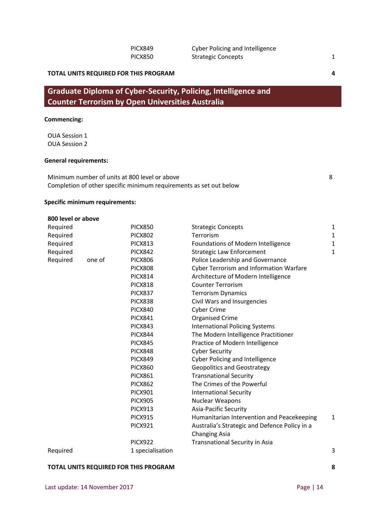# **Graduate Diploma of Cyber-Security, Policing, Intelligence and Counter Terrorism by Open Universities Australia**

#### **Commencing:**

OUA Session 1 OUA Session 2

#### **General requirements:**

Minimum number of units at 800 level or above 8 Completion of other specific minimum requirements as set out below

#### **Specific minimum requirements:**

| 800 level or above |        |                  |                                                |              |
|--------------------|--------|------------------|------------------------------------------------|--------------|
| Required           |        | <b>PICX850</b>   | <b>Strategic Concepts</b>                      | <sup>1</sup> |
| Required           |        | <b>PICX802</b>   | Terrorism                                      | $\mathbf{1}$ |
| Required           |        | <b>PICX813</b>   | Foundations of Modern Intelligence             | 1            |
| Required           |        | <b>PICX842</b>   | <b>Strategic Law Enforcement</b>               | 1            |
| Required           | one of | <b>PICX806</b>   | Police Leadership and Governance               |              |
|                    |        | <b>PICX808</b>   | <b>Cyber Terrorism and Information Warfare</b> |              |
|                    |        | <b>PICX814</b>   | Architecture of Modern Intelligence            |              |
|                    |        | <b>PICX818</b>   | <b>Counter Terrorism</b>                       |              |
|                    |        | <b>PICX837</b>   | <b>Terrorism Dynamics</b>                      |              |
|                    |        | <b>PICX838</b>   | Civil Wars and Insurgencies                    |              |
|                    |        | <b>PICX840</b>   | <b>Cyber Crime</b>                             |              |
|                    |        | <b>PICX841</b>   | <b>Organised Crime</b>                         |              |
|                    |        | <b>PICX843</b>   | <b>International Policing Systems</b>          |              |
|                    |        | <b>PICX844</b>   | The Modern Intelligence Practitioner           |              |
|                    |        | <b>PICX845</b>   | Practice of Modern Intelligence                |              |
|                    |        | <b>PICX848</b>   | <b>Cyber Security</b>                          |              |
|                    |        | <b>PICX849</b>   | <b>Cyber Policing and Intelligence</b>         |              |
|                    |        | <b>PICX860</b>   | <b>Geopolitics and Geostrategy</b>             |              |
|                    |        | <b>PICX861</b>   | <b>Transnational Security</b>                  |              |
|                    |        | <b>PICX862</b>   | The Crimes of the Powerful                     |              |
|                    |        | <b>PICX901</b>   | <b>International Security</b>                  |              |
|                    |        | <b>PICX905</b>   | <b>Nuclear Weapons</b>                         |              |
|                    |        | <b>PICX913</b>   | Asia-Pacific Security                          |              |
|                    |        | <b>PICX915</b>   | Humanitarian Intervention and Peacekeeping     | 1            |
|                    |        | <b>PICX921</b>   | Australia's Strategic and Defence Policy in a  |              |
|                    |        |                  | <b>Changing Asia</b>                           |              |
|                    |        | <b>PICX922</b>   | Transnational Security in Asia                 |              |
| Required           |        | 1 specialisation |                                                | 3            |

#### **TOTAL UNITS REQUIRED FOR THIS PROGRAM 8**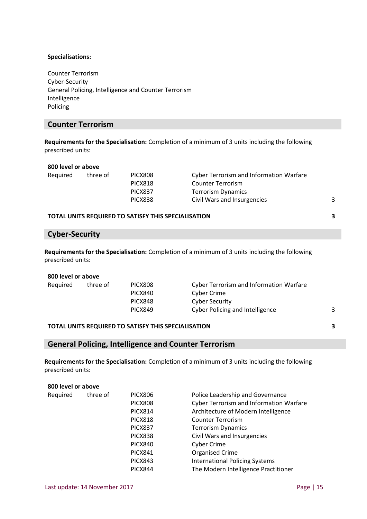#### **Specialisations:**

Counter Terrorism Cyber-Security General Policing, Intelligence and Counter Terrorism Intelligence Policing

### **Counter Terrorism**

**Requirements for the Specialisation:** Completion of a minimum of 3 units including the following prescribed units:

#### **800 level or above**

| Required | three of | PICX808                                             | <b>Cyber Terrorism and Information Warfare</b> |   |
|----------|----------|-----------------------------------------------------|------------------------------------------------|---|
|          |          | <b>PICX818</b>                                      | <b>Counter Terrorism</b>                       |   |
|          |          | <b>PICX837</b>                                      | <b>Terrorism Dynamics</b>                      |   |
|          |          | <b>PICX838</b>                                      | Civil Wars and Insurgencies                    | 3 |
|          |          |                                                     |                                                |   |
|          |          | TOTAL UNITS REQUIRED TO SATISFY THIS SPECIALISATION |                                                | 3 |

# **Cyber-Security**

**Requirements for the Specialisation:** Completion of a minimum of 3 units including the following prescribed units:

#### **800 level or above**

| three of | PICX808        |                                        |                                         |
|----------|----------------|----------------------------------------|-----------------------------------------|
|          | PICX840        | Cyber Crime                            |                                         |
|          | PICX848        | Cyber Security                         |                                         |
|          | <b>PICX849</b> | <b>Cyber Policing and Intelligence</b> |                                         |
|          |                |                                        | Cyber Terrorism and Information Warfare |

#### **TOTAL UNITS REQUIRED TO SATISFY THIS SPECIALISATION 3**

#### **General Policing, Intelligence and Counter Terrorism**

**Requirements for the Specialisation:** Completion of a minimum of 3 units including the following prescribed units:

#### **800 level or above**

| Required | three of | <b>PICX806</b> | Police Leadership and Governance               |
|----------|----------|----------------|------------------------------------------------|
|          |          | <b>PICX808</b> | <b>Cyber Terrorism and Information Warfare</b> |
|          |          | <b>PICX814</b> | Architecture of Modern Intelligence            |
|          |          | <b>PICX818</b> | <b>Counter Terrorism</b>                       |
|          |          | <b>PICX837</b> | <b>Terrorism Dynamics</b>                      |
|          |          | <b>PICX838</b> | Civil Wars and Insurgencies                    |
|          |          | <b>PICX840</b> | <b>Cyber Crime</b>                             |
|          |          | <b>PICX841</b> | <b>Organised Crime</b>                         |
|          |          | <b>PICX843</b> | <b>International Policing Systems</b>          |
|          |          | <b>PICX844</b> | The Modern Intelligence Practitioner           |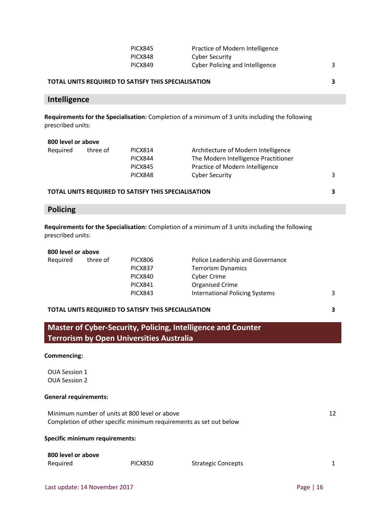| PICX845        | Practice of Modern Intelligence        |  |
|----------------|----------------------------------------|--|
| PICX848        | Cyber Security                         |  |
| <b>PICX849</b> | <b>Cyber Policing and Intelligence</b> |  |

#### **TOTAL UNITS REQUIRED TO SATISFY THIS SPECIALISATION 3**

#### **Intelligence**

**Requirements for the Specialisation:** Completion of a minimum of 3 units including the following prescribed units:

| 800 level or above |          |                |                                      |   |
|--------------------|----------|----------------|--------------------------------------|---|
| Required           | three of | <b>PICX814</b> | Architecture of Modern Intelligence  |   |
|                    |          | <b>PICX844</b> | The Modern Intelligence Practitioner |   |
|                    |          | <b>PICX845</b> | Practice of Modern Intelligence      |   |
|                    |          | <b>PICX848</b> | <b>Cyber Security</b>                | 3 |
|                    |          |                |                                      |   |

#### **TOTAL UNITS REQUIRED TO SATISFY THIS SPECIALISATION 3**

# **Policing**

**Requirements for the Specialisation:** Completion of a minimum of 3 units including the following prescribed units:

| 800 level or above |          |                |                                       |   |
|--------------------|----------|----------------|---------------------------------------|---|
| Required           | three of | <b>PICX806</b> | Police Leadership and Governance      |   |
|                    |          | PICX837        | <b>Terrorism Dynamics</b>             |   |
|                    |          | PICX840        | Cyber Crime                           |   |
|                    |          | <b>PICX841</b> | Organised Crime                       |   |
|                    |          | <b>PICX843</b> | <b>International Policing Systems</b> | 3 |
|                    |          |                |                                       |   |

#### **TOTAL UNITS REQUIRED TO SATISFY THIS SPECIALISATION 3**

**Master of Cyber-Security, Policing, Intelligence and Counter Terrorism by Open Universities Australia**

#### **Commencing:**

OUA Session 1 OUA Session 2

#### **General requirements:**

Minimum number of units at 800 level or above 12 Completion of other specific minimum requirements as set out below

#### **Specific minimum requirements:**

| 800 level or above |                |                           |  |
|--------------------|----------------|---------------------------|--|
| Required           | <b>PICX850</b> | <b>Strategic Concepts</b> |  |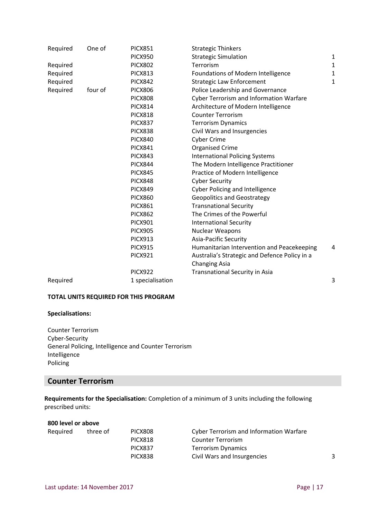| Required | One of  | <b>PICX851</b>   | <b>Strategic Thinkers</b>                      |              |
|----------|---------|------------------|------------------------------------------------|--------------|
|          |         | <b>PICX950</b>   | <b>Strategic Simulation</b>                    | $\mathbf{1}$ |
| Required |         | <b>PICX802</b>   | Terrorism                                      | $\mathbf{1}$ |
| Required |         | <b>PICX813</b>   | Foundations of Modern Intelligence             | 1            |
| Required |         | <b>PICX842</b>   | <b>Strategic Law Enforcement</b>               | $\mathbf 1$  |
| Required | four of | <b>PICX806</b>   | Police Leadership and Governance               |              |
|          |         | <b>PICX808</b>   | <b>Cyber Terrorism and Information Warfare</b> |              |
|          |         | <b>PICX814</b>   | Architecture of Modern Intelligence            |              |
|          |         | <b>PICX818</b>   | <b>Counter Terrorism</b>                       |              |
|          |         | <b>PICX837</b>   | <b>Terrorism Dynamics</b>                      |              |
|          |         | <b>PICX838</b>   | Civil Wars and Insurgencies                    |              |
|          |         | <b>PICX840</b>   | <b>Cyber Crime</b>                             |              |
|          |         | <b>PICX841</b>   | <b>Organised Crime</b>                         |              |
|          |         | <b>PICX843</b>   | <b>International Policing Systems</b>          |              |
|          |         | <b>PICX844</b>   | The Modern Intelligence Practitioner           |              |
|          |         | <b>PICX845</b>   | Practice of Modern Intelligence                |              |
|          |         | <b>PICX848</b>   | <b>Cyber Security</b>                          |              |
|          |         | <b>PICX849</b>   | <b>Cyber Policing and Intelligence</b>         |              |
|          |         | <b>PICX860</b>   | <b>Geopolitics and Geostrategy</b>             |              |
|          |         | <b>PICX861</b>   | <b>Transnational Security</b>                  |              |
|          |         | <b>PICX862</b>   | The Crimes of the Powerful                     |              |
|          |         | <b>PICX901</b>   | <b>International Security</b>                  |              |
|          |         | <b>PICX905</b>   | Nuclear Weapons                                |              |
|          |         | <b>PICX913</b>   | <b>Asia-Pacific Security</b>                   |              |
|          |         | <b>PICX915</b>   | Humanitarian Intervention and Peacekeeping     | 4            |
|          |         | <b>PICX921</b>   | Australia's Strategic and Defence Policy in a  |              |
|          |         |                  | <b>Changing Asia</b>                           |              |
|          |         | <b>PICX922</b>   | Transnational Security in Asia                 |              |
| Required |         | 1 specialisation |                                                | 3            |

#### **Specialisations:**

Counter Terrorism Cyber-Security General Policing, Intelligence and Counter Terrorism Intelligence Policing

### **Counter Terrorism**

**Requirements for the Specialisation:** Completion of a minimum of 3 units including the following prescribed units:

| 800 level or above |          |                |                                                |  |
|--------------------|----------|----------------|------------------------------------------------|--|
| Required           | three of | <b>PICX808</b> | <b>Cyber Terrorism and Information Warfare</b> |  |
|                    |          | <b>PICX818</b> | <b>Counter Terrorism</b>                       |  |
|                    |          | <b>PICX837</b> | <b>Terrorism Dynamics</b>                      |  |
|                    |          | <b>PICX838</b> | Civil Wars and Insurgencies                    |  |
|                    |          |                |                                                |  |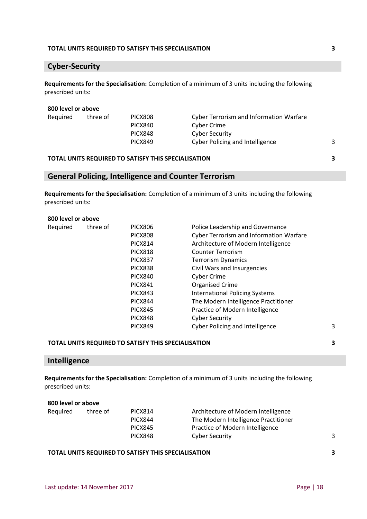#### **TOTAL UNITS REQUIRED TO SATISFY THIS SPECIALISATION 3**

### **Cyber-Security**

**Requirements for the Specialisation:** Completion of a minimum of 3 units including the following prescribed units:

#### **800 level or above**

| Required | three of | PICX808        | <b>Cyber Terrorism and Information Warfare</b> |  |
|----------|----------|----------------|------------------------------------------------|--|
|          |          | PICX840        | Cyber Crime                                    |  |
|          |          | <b>PICX848</b> | Cyber Security                                 |  |
|          |          | <b>PICX849</b> | <b>Cyber Policing and Intelligence</b>         |  |
|          |          |                |                                                |  |

#### **TOTAL UNITS REQUIRED TO SATISFY THIS SPECIALISATION 3**

### **General Policing, Intelligence and Counter Terrorism**

**Requirements for the Specialisation:** Completion of a minimum of 3 units including the following prescribed units:

#### **800 level or above**

| Required | three of | <b>PICX806</b> | Police Leadership and Governance        |   |
|----------|----------|----------------|-----------------------------------------|---|
|          |          | <b>PICX808</b> | Cyber Terrorism and Information Warfare |   |
|          |          | <b>PICX814</b> | Architecture of Modern Intelligence     |   |
|          |          | <b>PICX818</b> | <b>Counter Terrorism</b>                |   |
|          |          | <b>PICX837</b> | <b>Terrorism Dynamics</b>               |   |
|          |          | PICX838        | Civil Wars and Insurgencies             |   |
|          |          | <b>PICX840</b> | <b>Cyber Crime</b>                      |   |
|          |          | <b>PICX841</b> | <b>Organised Crime</b>                  |   |
|          |          | <b>PICX843</b> | <b>International Policing Systems</b>   |   |
|          |          | <b>PICX844</b> | The Modern Intelligence Practitioner    |   |
|          |          | <b>PICX845</b> | Practice of Modern Intelligence         |   |
|          |          | PICX848        | <b>Cyber Security</b>                   |   |
|          |          | <b>PICX849</b> | <b>Cyber Policing and Intelligence</b>  | 3 |
|          |          |                |                                         |   |

#### **TOTAL UNITS REQUIRED TO SATISFY THIS SPECIALISATION 3**

### **Intelligence**

**Requirements for the Specialisation:** Completion of a minimum of 3 units including the following prescribed units:

| 800 level or above |          |                |                                      |   |
|--------------------|----------|----------------|--------------------------------------|---|
| Required           | three of | <b>PICX814</b> | Architecture of Modern Intelligence  |   |
|                    |          | <b>PICX844</b> | The Modern Intelligence Practitioner |   |
|                    |          | <b>PICX845</b> | Practice of Modern Intelligence      |   |
|                    |          | <b>PICX848</b> | <b>Cyber Security</b>                | 3 |
|                    |          |                |                                      |   |

#### **TOTAL UNITS REQUIRED TO SATISFY THIS SPECIALISATION 3**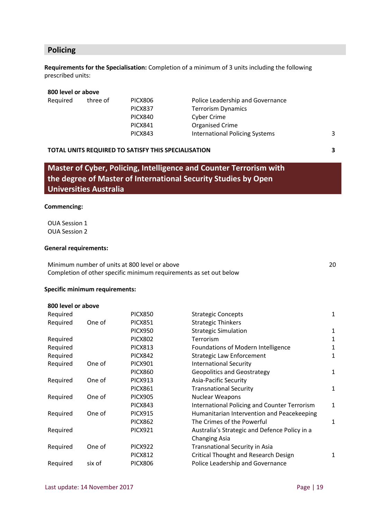## **Policing**

**Requirements for the Specialisation:** Completion of a minimum of 3 units including the following prescribed units:

#### **800 level or above**

| Required | three of | PICX806        | Police Leadership and Governance |   |
|----------|----------|----------------|----------------------------------|---|
|          |          | PICX837        | <b>Terrorism Dynamics</b>        |   |
|          |          | PICX840        | Cyber Crime                      |   |
|          |          | <b>PICX841</b> | <b>Organised Crime</b>           |   |
|          |          | <b>PICX843</b> | International Policing Systems   | 3 |
|          |          |                |                                  |   |

#### **TOTAL UNITS REQUIRED TO SATISFY THIS SPECIALISATION 3**

**Master of Cyber, Policing, Intelligence and Counter Terrorism with the degree of Master of International Security Studies by Open Universities Australia**

#### **Commencing:**

OUA Session 1 OUA Session 2

#### **General requirements:**

Minimum number of units at 800 level or above 20 and 20 and 20 and 20 and 20 and 20 and 20 and 20 and 20 and 20 and 20 and 20 and 20 and 20 and 20 and 20 and 20 and 20 and 20 and 20 and 20 and 20 and 20 and 20 and 20 and 2 Completion of other specific minimum requirements as set out below

#### **Specific minimum requirements:**

#### **800 level or above**

| Required |        | <b>PICX850</b> | <b>Strategic Concepts</b>                           | $\mathbf{1}$ |
|----------|--------|----------------|-----------------------------------------------------|--------------|
| Required | One of | <b>PICX851</b> | <b>Strategic Thinkers</b>                           |              |
|          |        | <b>PICX950</b> | <b>Strategic Simulation</b>                         | $\mathbf{1}$ |
| Required |        | <b>PICX802</b> | Terrorism                                           | 1            |
| Required |        | <b>PICX813</b> | Foundations of Modern Intelligence                  | 1            |
| Required |        | <b>PICX842</b> | <b>Strategic Law Enforcement</b>                    | 1            |
| Required | One of | <b>PICX901</b> | <b>International Security</b>                       |              |
|          |        | <b>PICX860</b> | <b>Geopolitics and Geostrategy</b>                  | $\mathbf{1}$ |
| Required | One of | <b>PICX913</b> | <b>Asia-Pacific Security</b>                        |              |
|          |        | <b>PICX861</b> | <b>Transnational Security</b>                       | $\mathbf{1}$ |
| Required | One of | <b>PICX905</b> | <b>Nuclear Weapons</b>                              |              |
|          |        | <b>PICX843</b> | <b>International Policing and Counter Terrorism</b> | $\mathbf{1}$ |
| Required | One of | <b>PICX915</b> | Humanitarian Intervention and Peacekeeping          |              |
|          |        | <b>PICX862</b> | The Crimes of the Powerful                          | 1            |
| Required |        | <b>PICX921</b> | Australia's Strategic and Defence Policy in a       |              |
|          |        |                | <b>Changing Asia</b>                                |              |
| Required | One of | <b>PICX922</b> | Transnational Security in Asia                      |              |
|          |        | <b>PICX812</b> | <b>Critical Thought and Research Design</b>         | 1            |
| Required | six of | <b>PICX806</b> | Police Leadership and Governance                    |              |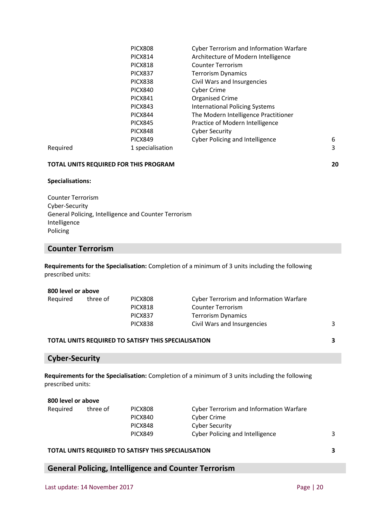|          | <b>PICX808</b>   | Cyber Terrorism and Information Warfare     |
|----------|------------------|---------------------------------------------|
|          | PICX814          | Architecture of Modern Intelligence         |
|          | <b>PICX818</b>   | <b>Counter Terrorism</b>                    |
|          | <b>PICX837</b>   | <b>Terrorism Dynamics</b>                   |
|          | <b>PICX838</b>   | Civil Wars and Insurgencies                 |
|          | PICX840          | <b>Cyber Crime</b>                          |
|          | <b>PICX841</b>   | <b>Organised Crime</b>                      |
|          | <b>PICX843</b>   | <b>International Policing Systems</b>       |
|          | <b>PICX844</b>   | The Modern Intelligence Practitioner        |
|          | <b>PICX845</b>   | Practice of Modern Intelligence             |
|          | <b>PICX848</b>   | <b>Cyber Security</b>                       |
|          | <b>PICX849</b>   | <b>Cyber Policing and Intelligence</b><br>6 |
| Required | 1 specialisation | 3                                           |

#### **Specialisations:**

Counter Terrorism Cyber-Security General Policing, Intelligence and Counter Terrorism Intelligence Policing

### **Counter Terrorism**

**Requirements for the Specialisation:** Completion of a minimum of 3 units including the following prescribed units:

#### **800 level or above**

| Required | three of | PICX808        | <b>Cyber Terrorism and Information Warfare</b> |  |
|----------|----------|----------------|------------------------------------------------|--|
|          |          | <b>PICX818</b> | Counter Terrorism                              |  |
|          |          | <b>PICX837</b> | Terrorism Dynamics                             |  |
|          |          | <b>PICX838</b> | Civil Wars and Insurgencies                    |  |
|          |          |                |                                                |  |

#### **TOTAL UNITS REQUIRED TO SATISFY THIS SPECIALISATION 3**

#### **Cyber-Security**

**Requirements for the Specialisation:** Completion of a minimum of 3 units including the following prescribed units:

| 800 level or above |          |                |                                                |  |
|--------------------|----------|----------------|------------------------------------------------|--|
| Required           | three of | <b>PICX808</b> | <b>Cyber Terrorism and Information Warfare</b> |  |
|                    |          | <b>PICX840</b> | Cyber Crime                                    |  |
|                    |          | <b>PICX848</b> | Cyber Security                                 |  |
|                    |          | <b>PICX849</b> | Cyber Policing and Intelligence                |  |
|                    |          |                |                                                |  |

#### **TOTAL UNITS REQUIRED TO SATISFY THIS SPECIALISATION 3**

## **General Policing, Intelligence and Counter Terrorism**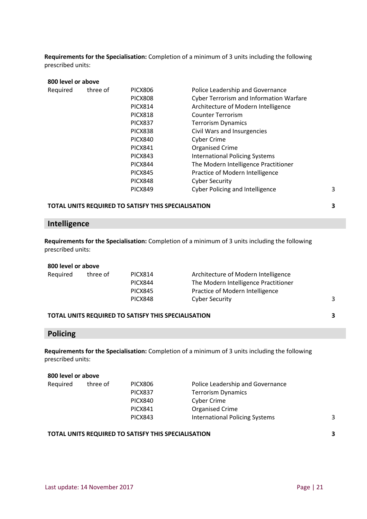**Requirements for the Specialisation:** Completion of a minimum of 3 units including the following prescribed units:

| 800 level or above |          |                |                                                |   |
|--------------------|----------|----------------|------------------------------------------------|---|
| Required           | three of | <b>PICX806</b> | Police Leadership and Governance               |   |
|                    |          | <b>PICX808</b> | <b>Cyber Terrorism and Information Warfare</b> |   |
|                    |          | <b>PICX814</b> | Architecture of Modern Intelligence            |   |
|                    |          | <b>PICX818</b> | <b>Counter Terrorism</b>                       |   |
|                    |          | PICX837        | <b>Terrorism Dynamics</b>                      |   |
|                    |          | <b>PICX838</b> | Civil Wars and Insurgencies                    |   |
|                    |          | <b>PICX840</b> | <b>Cyber Crime</b>                             |   |
|                    |          | <b>PICX841</b> | <b>Organised Crime</b>                         |   |
|                    |          | <b>PICX843</b> | <b>International Policing Systems</b>          |   |
|                    |          | <b>PICX844</b> | The Modern Intelligence Practitioner           |   |
|                    |          | <b>PICX845</b> | Practice of Modern Intelligence                |   |
|                    |          | <b>PICX848</b> | <b>Cyber Security</b>                          |   |
|                    |          | <b>PICX849</b> | <b>Cyber Policing and Intelligence</b>         | 3 |
|                    |          |                |                                                |   |

#### **TOTAL UNITS REQUIRED TO SATISFY THIS SPECIALISATION 3**

# **Intelligence**

**Requirements for the Specialisation:** Completion of a minimum of 3 units including the following prescribed units:

#### **800 level or above**

| Reguired | three of | PICX814        | Architecture of Modern Intelligence  |  |
|----------|----------|----------------|--------------------------------------|--|
|          |          | PICX844        | The Modern Intelligence Practitioner |  |
|          |          | <b>PICX845</b> | Practice of Modern Intelligence      |  |
|          |          | <b>PICX848</b> | <b>Cyber Security</b>                |  |
|          |          |                |                                      |  |

#### **TOTAL UNITS REQUIRED TO SATISFY THIS SPECIALISATION 3**

### **Policing**

**Requirements for the Specialisation:** Completion of a minimum of 3 units including the following prescribed units:

#### **800 level or above**

| Required | three of | PICX806        | Police Leadership and Governance |   |
|----------|----------|----------------|----------------------------------|---|
|          |          | PICX837        | <b>Terrorism Dynamics</b>        |   |
|          |          | PICX840        | Cyber Crime                      |   |
|          |          | <b>PICX841</b> | <b>Organised Crime</b>           |   |
|          |          | <b>PICX843</b> | International Policing Systems   | 3 |
|          |          |                |                                  |   |

#### **TOTAL UNITS REQUIRED TO SATISFY THIS SPECIALISATION 3**